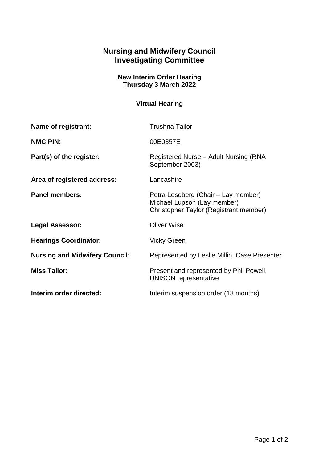## **Nursing and Midwifery Council Investigating Committee**

## **New Interim Order Hearing Thursday 3 March 2022**

## **Virtual Hearing**

| Name of registrant:                   | <b>Trushna Tailor</b>                                                                                        |
|---------------------------------------|--------------------------------------------------------------------------------------------------------------|
| <b>NMC PIN:</b>                       | 00E0357E                                                                                                     |
| Part(s) of the register:              | Registered Nurse - Adult Nursing (RNA<br>September 2003)                                                     |
| Area of registered address:           | Lancashire                                                                                                   |
| <b>Panel members:</b>                 | Petra Leseberg (Chair – Lay member)<br>Michael Lupson (Lay member)<br>Christopher Taylor (Registrant member) |
| <b>Legal Assessor:</b>                | <b>Oliver Wise</b>                                                                                           |
| <b>Hearings Coordinator:</b>          | <b>Vicky Green</b>                                                                                           |
| <b>Nursing and Midwifery Council:</b> | Represented by Leslie Millin, Case Presenter                                                                 |
| <b>Miss Tailor:</b>                   | Present and represented by Phil Powell,<br><b>UNISON representative</b>                                      |
| Interim order directed:               | Interim suspension order (18 months)                                                                         |